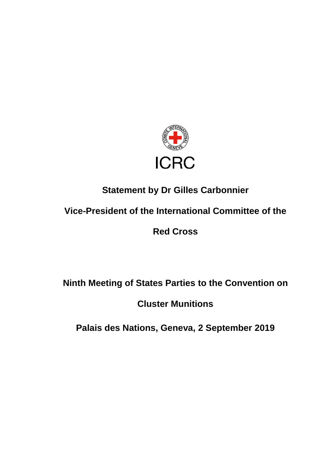

## **Statement by Dr Gilles Carbonnier**

## **Vice-President of the International Committee of the**

**Red Cross**

**Ninth Meeting of States Parties to the Convention on** 

**Cluster Munitions**

**Palais des Nations, Geneva, 2 September 2019**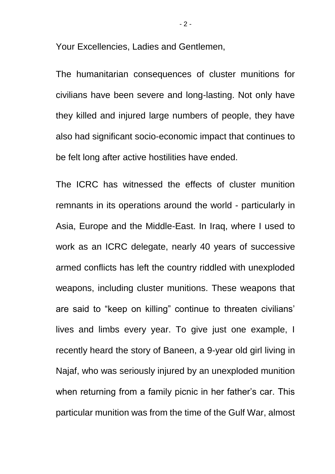Your Excellencies, Ladies and Gentlemen,

The humanitarian consequences of cluster munitions for civilians have been severe and long-lasting. Not only have they killed and injured large numbers of people, they have also had significant socio-economic impact that continues to be felt long after active hostilities have ended.

The ICRC has witnessed the effects of cluster munition remnants in its operations around the world - particularly in Asia, Europe and the Middle-East. In Iraq, where I used to work as an ICRC delegate, nearly 40 years of successive armed conflicts has left the country riddled with unexploded weapons, including cluster munitions. These weapons that are said to "keep on killing" continue to threaten civilians' lives and limbs every year. To give just one example, I recently heard the story of Baneen, a 9-year old girl living in Najaf, who was seriously injured by an unexploded munition when returning from a family picnic in her father's car. This particular munition was from the time of the Gulf War, almost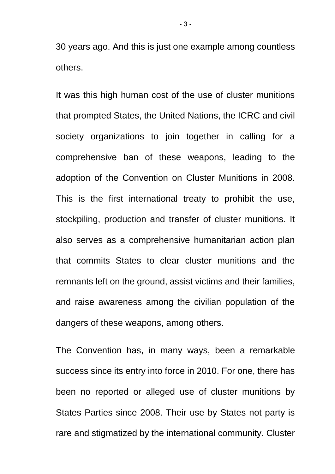30 years ago. And this is just one example among countless others.

It was this high human cost of the use of cluster munitions that prompted States, the United Nations, the ICRC and civil society organizations to join together in calling for a comprehensive ban of these weapons, leading to the adoption of the Convention on Cluster Munitions in 2008. This is the first international treaty to prohibit the use, stockpiling, production and transfer of cluster munitions. It also serves as a comprehensive humanitarian action plan that commits States to clear cluster munitions and the remnants left on the ground, assist victims and their families, and raise awareness among the civilian population of the dangers of these weapons, among others.

The Convention has, in many ways, been a remarkable success since its entry into force in 2010. For one, there has been no reported or alleged use of cluster munitions by States Parties since 2008. Their use by States not party is rare and stigmatized by the international community. Cluster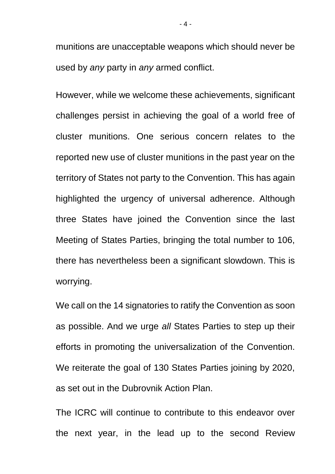munitions are unacceptable weapons which should never be used by *any* party in *any* armed conflict.

However, while we welcome these achievements, significant challenges persist in achieving the goal of a world free of cluster munitions. One serious concern relates to the reported new use of cluster munitions in the past year on the territory of States not party to the Convention. This has again highlighted the urgency of universal adherence. Although three States have joined the Convention since the last Meeting of States Parties, bringing the total number to 106, there has nevertheless been a significant slowdown. This is worrying.

We call on the 14 signatories to ratify the Convention as soon as possible. And we urge *all* States Parties to step up their efforts in promoting the universalization of the Convention. We reiterate the goal of 130 States Parties joining by 2020, as set out in the Dubrovnik Action Plan.

The ICRC will continue to contribute to this endeavor over the next year, in the lead up to the second Review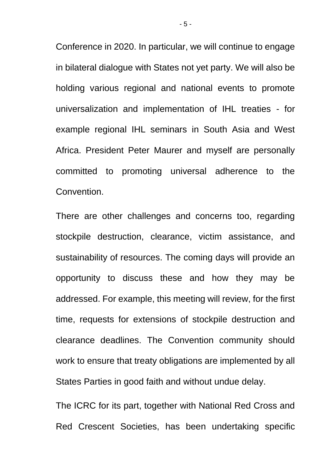Conference in 2020. In particular, we will continue to engage in bilateral dialogue with States not yet party. We will also be holding various regional and national events to promote universalization and implementation of IHL treaties - for example regional IHL seminars in South Asia and West Africa. President Peter Maurer and myself are personally committed to promoting universal adherence to the Convention.

There are other challenges and concerns too, regarding stockpile destruction, clearance, victim assistance, and sustainability of resources. The coming days will provide an opportunity to discuss these and how they may be addressed. For example, this meeting will review, for the first time, requests for extensions of stockpile destruction and clearance deadlines. The Convention community should work to ensure that treaty obligations are implemented by all States Parties in good faith and without undue delay.

The ICRC for its part, together with National Red Cross and Red Crescent Societies, has been undertaking specific